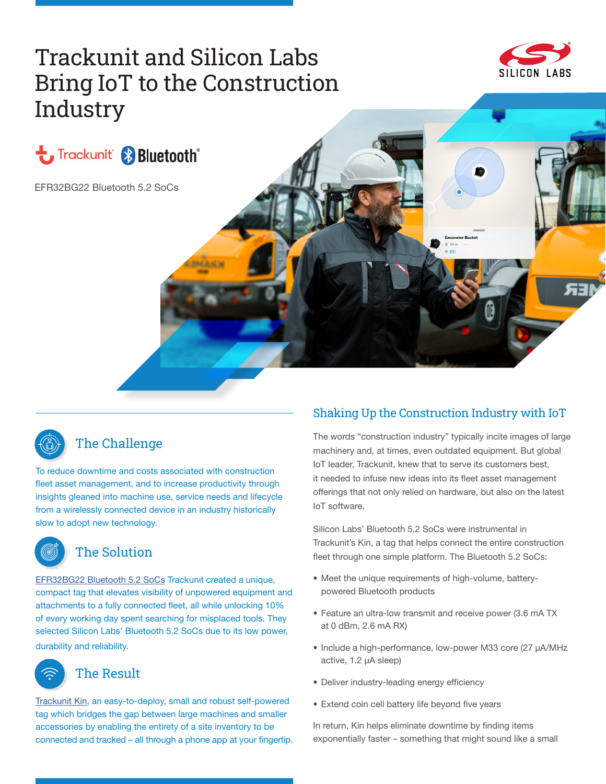# Trackunit and Silicon Labs Bring IoT to the Construction **Industry**







# The Challenge

To reduce downtime and costs associated with construction fleet asset management, and to increase productivity through insights gleaned into machine use, service needs and lifecycle from a wirelessly connected device in an industry historically slow to adopt new technology.



## The Solution

[EFR32BG22 Bluetooth 5.2 SoCs](https://www.silabs.com/wireless/gecko-series-2/efr32bg22) Trackunit created a unique, compact tag that elevates visibility of unpowered equipment and attachments to a fully connected fleet, all while unlocking 10% of every working day spent searching for misplaced tools. They selected Silicon Labs' Bluetooth 5.2 SoCs due to its low power, durability and reliability.

# The Result

[Trackunit Kin](https://www.trackunit.com/hardware/kin/), an easy-to-deploy, small and robust self-powered tag which bridges the gap between large machines and smaller accessories by enabling the entirety of a site inventory to be connected and tracked – all through a phone app at your fingertip.

## Shaking Up the Construction Industry with IoT

The words "construction industry" typically incite images of large machinery and, at times, even outdated equipment. But global IoT leader, Trackunit, knew that to serve its customers best, it needed to infuse new ideas into its fleet asset management offerings that not only relied on hardware, but also on the latest IoT software.

Silicon Labs' Bluetooth 5.2 SoCs were instrumental in Trackunit's Kin, a tag that helps connect the entire construction fleet through one simple platform. The Bluetooth 5.2 SoCs:

- Meet the unique requirements of high-volume, batterypowered Bluetooth products
- Feature an ultra-low transmit and receive power (3.6 mA TX at 0 dBm, 2.6 mA RX)
- Include a high-performance, low-power M33 core (27 µA/MHz active, 1.2 µA sleep)
- Deliver industry-leading energy efficiency
- Extend coin cell battery life beyond five years

In return, Kin helps eliminate downtime by finding items exponentially faster – something that might sound like a small